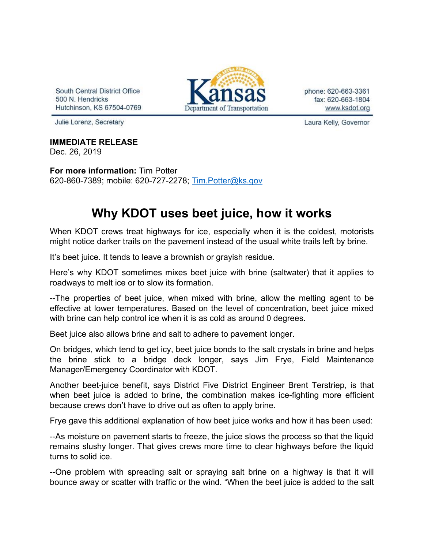South Central District Office 500 N. Hendricks Hutchinson, KS 67504-0769



phone: 620-663-3361 fax: 620-663-1804 www.ksdot.org

Julie Lorenz, Secretary

## **IMMEDIATE RELEASE**

Dec. 26, 2019

**For more information:** Tim Potter 620-860-7389; mobile: 620-727-2278; [Tim.Potter@ks.gov](mailto:Tim.Potter@ks.gov)

## **Why KDOT uses beet juice, how it works**

When KDOT crews treat highways for ice, especially when it is the coldest, motorists might notice darker trails on the pavement instead of the usual white trails left by brine.

It's beet juice. It tends to leave a brownish or grayish residue.

Here's why KDOT sometimes mixes beet juice with brine (saltwater) that it applies to roadways to melt ice or to slow its formation.

--The properties of beet juice, when mixed with brine, allow the melting agent to be effective at lower temperatures. Based on the level of concentration, beet juice mixed with brine can help control ice when it is as cold as around 0 degrees.

Beet juice also allows brine and salt to adhere to pavement longer.

On bridges, which tend to get icy, beet juice bonds to the salt crystals in brine and helps the brine stick to a bridge deck longer, says Jim Frye, Field Maintenance Manager/Emergency Coordinator with KDOT.

Another beet-juice benefit, says District Five District Engineer Brent Terstriep, is that when beet juice is added to brine, the combination makes ice-fighting more efficient because crews don't have to drive out as often to apply brine.

Frye gave this additional explanation of how beet juice works and how it has been used:

--As moisture on pavement starts to freeze, the juice slows the process so that the liquid remains slushy longer. That gives crews more time to clear highways before the liquid turns to solid ice.

--One problem with spreading salt or spraying salt brine on a highway is that it will bounce away or scatter with traffic or the wind. "When the beet juice is added to the salt

Laura Kelly, Governor